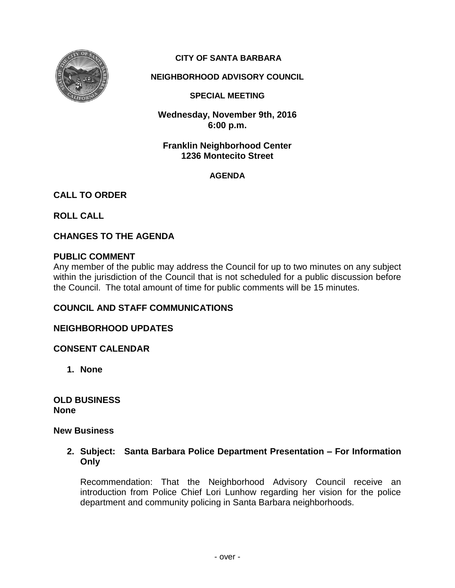

# **CITY OF SANTA BARBARA**

### **NEIGHBORHOOD ADVISORY COUNCIL**

#### **SPECIAL MEETING**

**Wednesday, November 9th, 2016 6:00 p.m.**

**Franklin Neighborhood Center 1236 Montecito Street**

**AGENDA**

## **CALL TO ORDER**

**ROLL CALL**

## **CHANGES TO THE AGENDA**

#### **PUBLIC COMMENT**

Any member of the public may address the Council for up to two minutes on any subject within the jurisdiction of the Council that is not scheduled for a public discussion before the Council. The total amount of time for public comments will be 15 minutes.

### **COUNCIL AND STAFF COMMUNICATIONS**

### **NEIGHBORHOOD UPDATES**

### **CONSENT CALENDAR**

**1. None**

**OLD BUSINESS None**

#### **New Business**

**2. Subject: Santa Barbara Police Department Presentation – For Information Only**

Recommendation: That the Neighborhood Advisory Council receive an introduction from Police Chief Lori Lunhow regarding her vision for the police department and community policing in Santa Barbara neighborhoods.